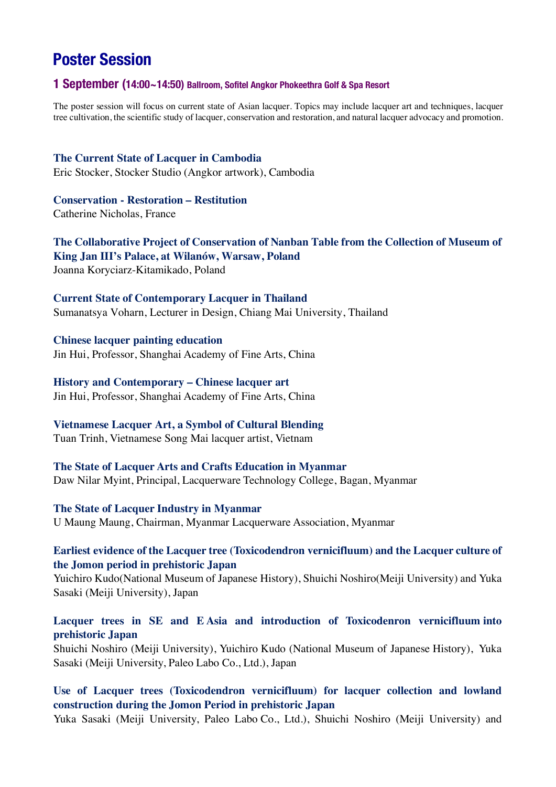# **Poster Session**

#### **1 September (14:00~14:50) Ballroom, Sofitel Angkor Phokeethra Golf & Spa Resort**

The poster session will focus on current state of Asian lacquer. Topics may include lacquer art and techniques, lacquer tree cultivation, the scientific study of lacquer, conservation and restoration, and natural lacquer advocacy and promotion.

**The Current State of Lacquer in Cambodia** Eric Stocker, Stocker Studio (Angkor artwork), Cambodia

**Conservation - Restoration – Restitution** Catherine Nicholas, France

**The Collaborative Project of Conservation of Nanban Table from the Collection of Museum of King Jan III's Palace, at Wilanów, Warsaw, Poland** Joanna Koryciarz-Kitamikado, Poland

#### **Current State of Contemporary Lacquer in Thailand**

Sumanatsya Voharn, Lecturer in Design, Chiang Mai University, Thailand

#### **Chinese lacquer painting education**

Jin Hui, Professor, Shanghai Academy of Fine Arts, China

#### **History and Contemporary – Chinese lacquer art**

Jin Hui, Professor, Shanghai Academy of Fine Arts, China

#### **Vietnamese Lacquer Art, a Symbol of Cultural Blending**

Tuan Trinh, Vietnamese Song Mai lacquer artist, Vietnam

#### **The State of Lacquer Arts and Crafts Education in Myanmar**

Daw Nilar Myint, Principal, Lacquerware Technology College, Bagan, Myanmar

#### **The State of Lacquer Industry in Myanmar**

U Maung Maung, Chairman, Myanmar Lacquerware Association, Myanmar

#### **Earliest evidence of the Lacquer tree (Toxicodendron vernicifluum) and the Lacquer culture of the Jomon period in prehistoric Japan**

Yuichiro Kudo(National Museum of Japanese History), Shuichi Noshiro(Meiji University) and Yuka Sasaki (Meiji University), Japan

#### **Lacquer trees in SE and E Asia and introduction of Toxicodenron vernicifluum into prehistoric Japan**

Shuichi Noshiro (Meiji University), Yuichiro Kudo (National Museum of Japanese History), Yuka Sasaki (Meiji University, Paleo Labo Co., Ltd.), Japan

# **Use of Lacquer trees (Toxicodendron vernicifluum) for lacquer collection and lowland construction during the Jomon Period in prehistoric Japan**

Yuka Sasaki (Meiji University, Paleo Labo Co., Ltd.), Shuichi Noshiro (Meiji University) and